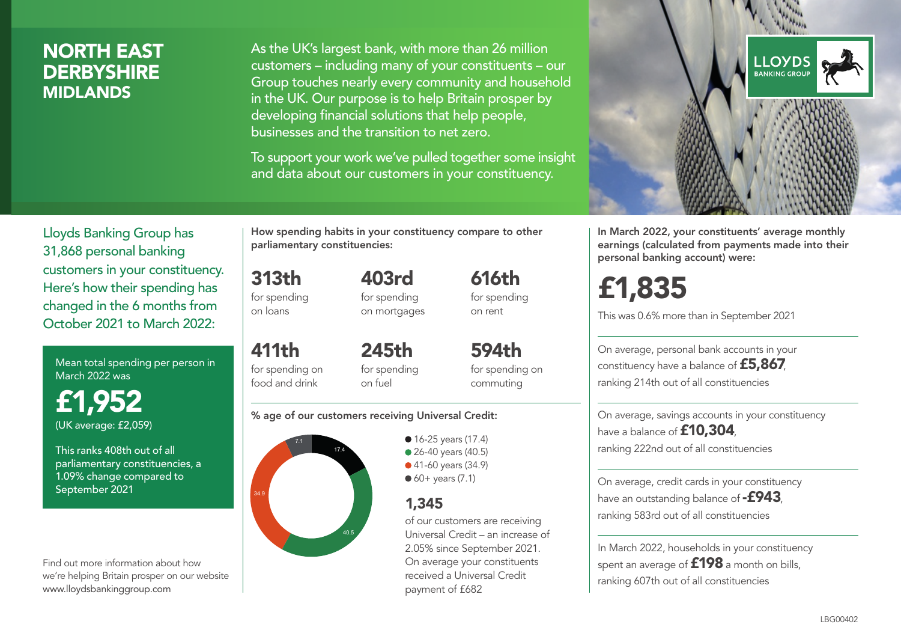### NORTH EAST **DERBYSHIRE** MIDLANDS

As the UK's largest bank, with more than 26 million customers – including many of your constituents – our Group touches nearly every community and household in the UK. Our purpose is to help Britain prosper by developing financial solutions that help people, businesses and the transition to net zero.

To support your work we've pulled together some insight and data about our customers in your constituency.



Mean total spending per person in March 2022 was

£1,952 (UK average: £2,059)

This ranks 408th out of all parliamentary constituencies, a 1.09% change compared to September 2021

Find out more information about how we're helping Britain prosper on our website www.lloydsbankinggroup.com

How spending habits in your constituency compare to other parliamentary constituencies:

313th for spending 403rd

on loans

for spending on mortgages

411th for spending on food and drink 245th for spending on fuel

594th for spending on commuting

616th for spending on rent

#### % age of our customers receiving Universal Credit:



• 16-25 years (17.4) • 26-40 years (40.5) ● 41-60 years (34.9)  $60+$  years (7.1)

### 1,345

of our customers are receiving Universal Credit – an increase of 2.05% since September 2021. On average your constituents received a Universal Credit payment of £682



In March 2022, your constituents' average monthly earnings (calculated from payments made into their personal banking account) were:

# £1,835

This was 0.6% more than in September 2021

On average, personal bank accounts in your constituency have a balance of £5,867, ranking 214th out of all constituencies

On average, savings accounts in your constituency have a balance of £10,304. ranking 222nd out of all constituencies

On average, credit cards in your constituency have an outstanding balance of  $-$ £943, ranking 583rd out of all constituencies

In March 2022, households in your constituency spent an average of  $£198$  a month on bills, ranking 607th out of all constituencies